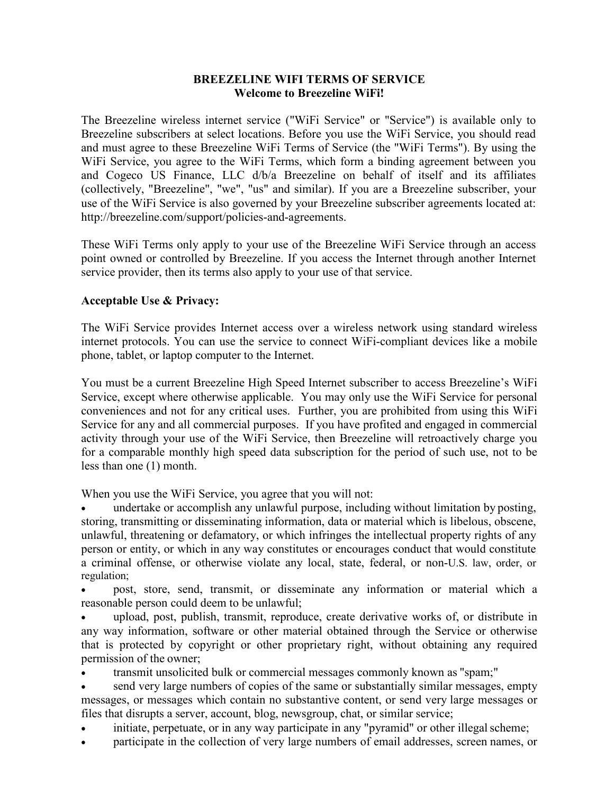## **BREEZELINE WIFI TERMS OF SERVICE Welcome to Breezeline WiFi!**

The Breezeline wireless internet service ("WiFi Service" or "Service") is available only to Breezeline subscribers at select locations. Before you use the WiFi Service, you should read and must agree to these Breezeline WiFi Terms of Service (the "WiFi Terms"). By using the WiFi Service, you agree to the WiFi Terms, which form a binding agreement between you and Cogeco US Finance, LLC d/b/a Breezeline on behalf of itself and its affiliates (collectively, "Breezeline", "we", "us" and similar). If you are a Breezeline subscriber, your use of the WiFi Service is also governed by your Breezeline subscriber agreements located at: [http://breezeline.com/support/policies-and-agreements.](http://atlanticbb.com/support/policies-and-agreements)

These WiFi Terms only apply to your use of the Breezeline WiFi Service through an access point owned or controlled by Breezeline. If you access the Internet through another Internet service provider, then its terms also apply to your use of that service.

## **Acceptable Use & Privacy:**

The WiFi Service provides Internet access over a wireless network using standard wireless internet protocols. You can use the service to connect WiFi-compliant devices like a mobile phone, tablet, or laptop computer to the Internet.

You must be a current Breezeline High Speed Internet subscriber to access Breezeline's WiFi Service, except where otherwise applicable. You may only use the WiFi Service for personal conveniences and not for any critical uses. Further, you are prohibited from using this WiFi Service for any and all commercial purposes. If you have profited and engaged in commercial activity through your use of the WiFi Service, then Breezeline will retroactively charge you for a comparable monthly high speed data subscription for the period of such use, not to be less than one (1) month.

When you use the WiFi Service, you agree that you will not:

undertake or accomplish any unlawful purpose, including without limitation by posting, storing, transmitting or disseminating information, data or material which is libelous, obscene, unlawful, threatening or defamatory, or which infringes the intellectual property rights of any person or entity, or which in any way constitutes or encourages conduct that would constitute a criminal offense, or otherwise violate any local, state, federal, or non-U.S. law, order, or regulation;

• post, store, send, transmit, or disseminate any information or material which a reasonable person could deem to be unlawful;

• upload, post, publish, transmit, reproduce, create derivative works of, or distribute in any way information, software or other material obtained through the Service or otherwise that is protected by copyright or other proprietary right, without obtaining any required permission of the owner;

• transmit unsolicited bulk or commercial messages commonly known as "spam;"

send very large numbers of copies of the same or substantially similar messages, empty messages, or messages which contain no substantive content, or send very large messages or files that disrupts a server, account, blog, newsgroup, chat, or similar service;

- initiate, perpetuate, or in any way participate in any "pyramid" or other illegal scheme;
- participate in the collection of very large numbers of email addresses, screen names, or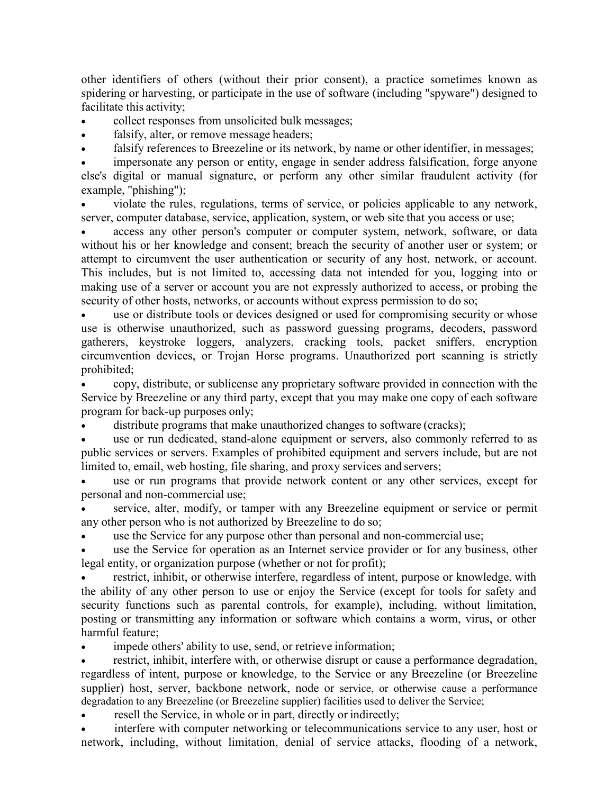other identifiers of others (without their prior consent), a practice sometimes known as spidering or harvesting, or participate in the use of software (including "spyware") designed to facilitate this activity;

• collect responses from unsolicited bulk messages;

falsify, alter, or remove message headers;

falsify references to Breezeline or its network, by name or other identifier, in messages;

impersonate any person or entity, engage in sender address falsification, forge anyone else's digital or manual signature, or perform any other similar fraudulent activity (for example, "phishing");

• violate the rules, regulations, terms of service, or policies applicable to any network, server, computer database, service, application, system, or web site that you access or use;

access any other person's computer or computer system, network, software, or data without his or her knowledge and consent; breach the security of another user or system; or attempt to circumvent the user authentication or security of any host, network, or account. This includes, but is not limited to, accessing data not intended for you, logging into or making use of a server or account you are not expressly authorized to access, or probing the security of other hosts, networks, or accounts without express permission to do so;

use or distribute tools or devices designed or used for compromising security or whose use is otherwise unauthorized, such as password guessing programs, decoders, password gatherers, keystroke loggers, analyzers, cracking tools, packet sniffers, encryption circumvention devices, or Trojan Horse programs. Unauthorized port scanning is strictly prohibited;

• copy, distribute, or sublicense any proprietary software provided in connection with the Service by Breezeline or any third party, except that you may make one copy of each software program for back-up purposes only;

distribute programs that make unauthorized changes to software (cracks);

use or run dedicated, stand-alone equipment or servers, also commonly referred to as public services or servers. Examples of prohibited equipment and servers include, but are not limited to, email, web hosting, file sharing, and proxy services and servers;

use or run programs that provide network content or any other services, except for personal and non-commercial use;

service, alter, modify, or tamper with any Breezeline equipment or service or permit any other person who is not authorized by Breezeline to do so;

use the Service for any purpose other than personal and non-commercial use;

use the Service for operation as an Internet service provider or for any business, other legal entity, or organization purpose (whether or not for profit);

restrict, inhibit, or otherwise interfere, regardless of intent, purpose or knowledge, with the ability of any other person to use or enjoy the Service (except for tools for safety and security functions such as parental controls, for example), including, without limitation, posting or transmitting any information or software which contains a worm, virus, or other harmful feature;

impede others' ability to use, send, or retrieve information;

restrict, inhibit, interfere with, or otherwise disrupt or cause a performance degradation, regardless of intent, purpose or knowledge, to the Service or any Breezeline (or Breezeline supplier) host, server, backbone network, node or service, or otherwise cause a performance degradation to any Breezeline (or Breezeline supplier) facilities used to deliver the Service;

resell the Service, in whole or in part, directly or indirectly;

interfere with computer networking or telecommunications service to any user, host or network, including, without limitation, denial of service attacks, flooding of a network,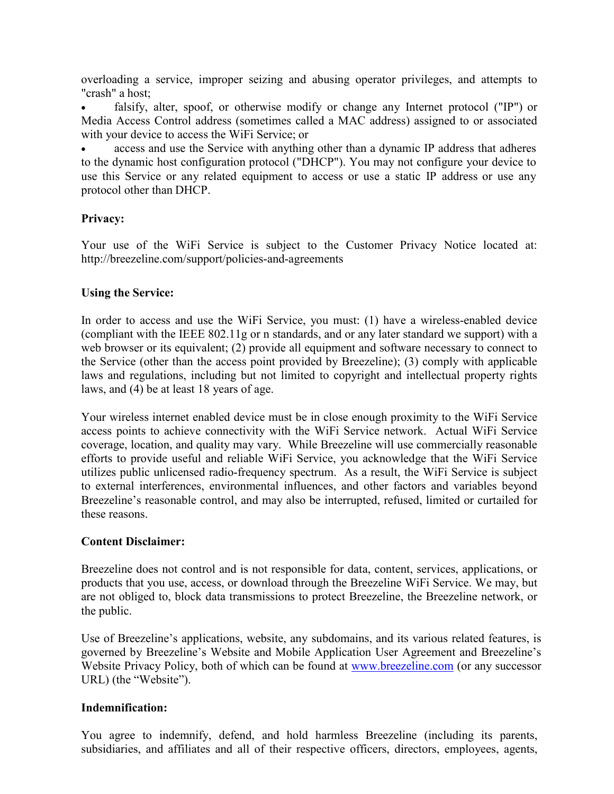overloading a service, improper seizing and abusing operator privileges, and attempts to "crash" a host;

falsify, alter, spoof, or otherwise modify or change any Internet protocol ("IP") or Media Access Control address (sometimes called a MAC address) assigned to or associated with your device to access the WiFi Service; or

access and use the Service with anything other than a dynamic IP address that adheres to the dynamic host configuration protocol ("DHCP"). You may not configure your device to use this Service or any related equipment to access or use a static IP address or use any protocol other than DHCP.

## **Privacy:**

Your use of the WiFi Service is subject to the Customer Privacy Notice located at: [http://breezeline.com/support/policies-and-agreements](http://atlanticbb.com/support/policies-and-agreements)

## **Using the Service:**

In order to access and use the WiFi Service, you must: (1) have a wireless-enabled device (compliant with the IEEE 802.11g or n standards, and or any later standard we support) with a web browser or its equivalent; (2) provide all equipment and software necessary to connect to the Service (other than the access point provided by Breezeline); (3) comply with applicable laws and regulations, including but not limited to copyright and intellectual property rights laws, and (4) be at least 18 years of age.

Your wireless internet enabled device must be in close enough proximity to the WiFi Service access points to achieve connectivity with the WiFi Service network. Actual WiFi Service coverage, location, and quality may vary. While Breezeline will use commercially reasonable efforts to provide useful and reliable WiFi Service, you acknowledge that the WiFi Service utilizes public unlicensed radio-frequency spectrum. As a result, the WiFi Service is subject to external interferences, environmental influences, and other factors and variables beyond Breezeline's reasonable control, and may also be interrupted, refused, limited or curtailed for these reasons.

### **Content Disclaimer:**

Breezeline does not control and is not responsible for data, content, services, applications, or products that you use, access, or download through the Breezeline WiFi Service. We may, but are not obliged to, block data transmissions to protect Breezeline, the Breezeline network, or the public.

Use of Breezeline's applications, website, any subdomains, and its various related features, is governed by Breezeline's Website and Mobile Application User Agreement and Breezeline's Website Privacy Policy, both of which can be found at [www.breezeline.com](http://www.breezeline.com/) (or any successor URL) (the "Website").

### **Indemnification:**

You agree to indemnify, defend, and hold harmless Breezeline (including its parents, subsidiaries, and affiliates and all of their respective officers, directors, employees, agents,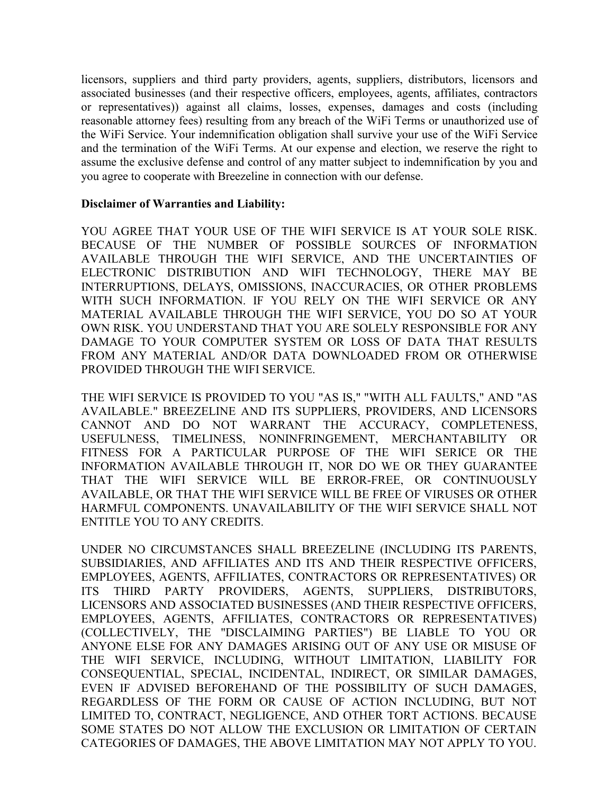licensors, suppliers and third party providers, agents, suppliers, distributors, licensors and associated businesses (and their respective officers, employees, agents, affiliates, contractors or representatives)) against all claims, losses, expenses, damages and costs (including reasonable attorney fees) resulting from any breach of the WiFi Terms or unauthorized use of the WiFi Service. Your indemnification obligation shall survive your use of the WiFi Service and the termination of the WiFi Terms. At our expense and election, we reserve the right to assume the exclusive defense and control of any matter subject to indemnification by you and you agree to cooperate with Breezeline in connection with our defense.

#### **Disclaimer of Warranties and Liability:**

YOU AGREE THAT YOUR USE OF THE WIFI SERVICE IS AT YOUR SOLE RISK. BECAUSE OF THE NUMBER OF POSSIBLE SOURCES OF INFORMATION AVAILABLE THROUGH THE WIFI SERVICE, AND THE UNCERTAINTIES OF ELECTRONIC DISTRIBUTION AND WIFI TECHNOLOGY, THERE MAY BE INTERRUPTIONS, DELAYS, OMISSIONS, INACCURACIES, OR OTHER PROBLEMS WITH SUCH INFORMATION. IF YOU RELY ON THE WIFI SERVICE OR ANY MATERIAL AVAILABLE THROUGH THE WIFI SERVICE, YOU DO SO AT YOUR OWN RISK. YOU UNDERSTAND THAT YOU ARE SOLELY RESPONSIBLE FOR ANY DAMAGE TO YOUR COMPUTER SYSTEM OR LOSS OF DATA THAT RESULTS FROM ANY MATERIAL AND/OR DATA DOWNLOADED FROM OR OTHERWISE PROVIDED THROUGH THE WIFI SERVICE.

THE WIFI SERVICE IS PROVIDED TO YOU "AS IS," "WITH ALL FAULTS," AND "AS AVAILABLE." BREEZELINE AND ITS SUPPLIERS, PROVIDERS, AND LICENSORS CANNOT AND DO NOT WARRANT THE ACCURACY, COMPLETENESS, USEFULNESS, TIMELINESS, NONINFRINGEMENT, MERCHANTABILITY OR FITNESS FOR A PARTICULAR PURPOSE OF THE WIFI SERICE OR THE INFORMATION AVAILABLE THROUGH IT, NOR DO WE OR THEY GUARANTEE THAT THE WIFI SERVICE WILL BE ERROR-FREE, OR CONTINUOUSLY AVAILABLE, OR THAT THE WIFI SERVICE WILL BE FREE OF VIRUSES OR OTHER HARMFUL COMPONENTS. UNAVAILABILITY OF THE WIFI SERVICE SHALL NOT ENTITLE YOU TO ANY CREDITS.

UNDER NO CIRCUMSTANCES SHALL BREEZELINE (INCLUDING ITS PARENTS, SUBSIDIARIES, AND AFFILIATES AND ITS AND THEIR RESPECTIVE OFFICERS, EMPLOYEES, AGENTS, AFFILIATES, CONTRACTORS OR REPRESENTATIVES) OR ITS THIRD PARTY PROVIDERS, AGENTS, SUPPLIERS, DISTRIBUTORS, LICENSORS AND ASSOCIATED BUSINESSES (AND THEIR RESPECTIVE OFFICERS, EMPLOYEES, AGENTS, AFFILIATES, CONTRACTORS OR REPRESENTATIVES) (COLLECTIVELY, THE "DISCLAIMING PARTIES") BE LIABLE TO YOU OR ANYONE ELSE FOR ANY DAMAGES ARISING OUT OF ANY USE OR MISUSE OF THE WIFI SERVICE, INCLUDING, WITHOUT LIMITATION, LIABILITY FOR CONSEQUENTIAL, SPECIAL, INCIDENTAL, INDIRECT, OR SIMILAR DAMAGES, EVEN IF ADVISED BEFOREHAND OF THE POSSIBILITY OF SUCH DAMAGES, REGARDLESS OF THE FORM OR CAUSE OF ACTION INCLUDING, BUT NOT LIMITED TO, CONTRACT, NEGLIGENCE, AND OTHER TORT ACTIONS. BECAUSE SOME STATES DO NOT ALLOW THE EXCLUSION OR LIMITATION OF CERTAIN CATEGORIES OF DAMAGES, THE ABOVE LIMITATION MAY NOT APPLY TO YOU.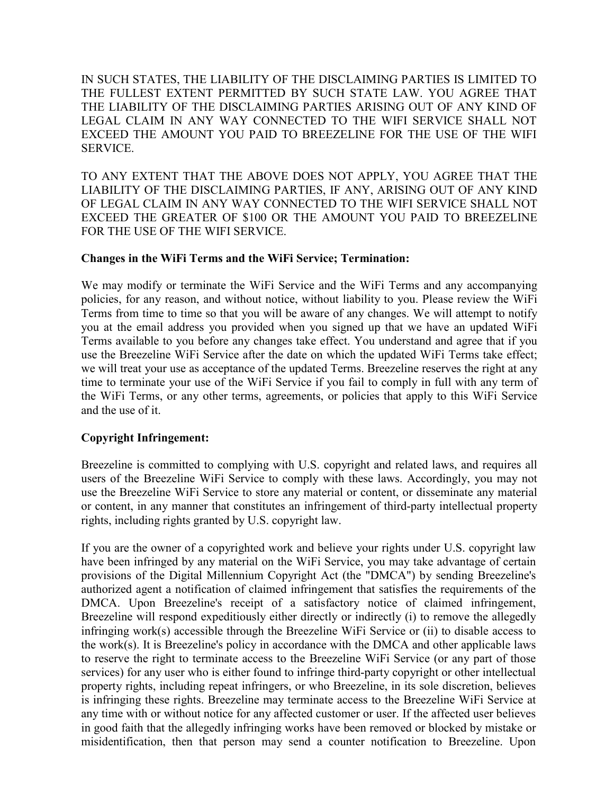IN SUCH STATES, THE LIABILITY OF THE DISCLAIMING PARTIES IS LIMITED TO THE FULLEST EXTENT PERMITTED BY SUCH STATE LAW. YOU AGREE THAT THE LIABILITY OF THE DISCLAIMING PARTIES ARISING OUT OF ANY KIND OF LEGAL CLAIM IN ANY WAY CONNECTED TO THE WIFI SERVICE SHALL NOT EXCEED THE AMOUNT YOU PAID TO BREEZELINE FOR THE USE OF THE WIFI SERVICE.

TO ANY EXTENT THAT THE ABOVE DOES NOT APPLY, YOU AGREE THAT THE LIABILITY OF THE DISCLAIMING PARTIES, IF ANY, ARISING OUT OF ANY KIND OF LEGAL CLAIM IN ANY WAY CONNECTED TO THE WIFI SERVICE SHALL NOT EXCEED THE GREATER OF \$100 OR THE AMOUNT YOU PAID TO BREEZELINE FOR THE USE OF THE WIFI SERVICE.

### **Changes in the WiFi Terms and the WiFi Service; Termination:**

We may modify or terminate the WiFi Service and the WiFi Terms and any accompanying policies, for any reason, and without notice, without liability to you. Please review the WiFi Terms from time to time so that you will be aware of any changes. We will attempt to notify you at the email address you provided when you signed up that we have an updated WiFi Terms available to you before any changes take effect. You understand and agree that if you use the Breezeline WiFi Service after the date on which the updated WiFi Terms take effect; we will treat your use as acceptance of the updated Terms. Breezeline reserves the right at any time to terminate your use of the WiFi Service if you fail to comply in full with any term of the WiFi Terms, or any other terms, agreements, or policies that apply to this WiFi Service and the use of it.

# **Copyright Infringement:**

Breezeline is committed to complying with U.S. copyright and related laws, and requires all users of the Breezeline WiFi Service to comply with these laws. Accordingly, you may not use the Breezeline WiFi Service to store any material or content, or disseminate any material or content, in any manner that constitutes an infringement of third-party intellectual property rights, including rights granted by U.S. copyright law.

If you are the owner of a copyrighted work and believe your rights under U.S. copyright law have been infringed by any material on the WiFi Service, you may take advantage of certain provisions of the Digital Millennium Copyright Act (the "DMCA") by sending Breezeline's authorized agent a notification of claimed infringement that satisfies the requirements of the DMCA. Upon Breezeline's receipt of a satisfactory notice of claimed infringement, Breezeline will respond expeditiously either directly or indirectly (i) to remove the allegedly infringing work(s) accessible through the Breezeline WiFi Service or (ii) to disable access to the work(s). It is Breezeline's policy in accordance with the DMCA and other applicable laws to reserve the right to terminate access to the Breezeline WiFi Service (or any part of those services) for any user who is either found to infringe third-party copyright or other intellectual property rights, including repeat infringers, or who Breezeline, in its sole discretion, believes is infringing these rights. Breezeline may terminate access to the Breezeline WiFi Service at any time with or without notice for any affected customer or user. If the affected user believes in good faith that the allegedly infringing works have been removed or blocked by mistake or misidentification, then that person may send a counter notification to Breezeline. Upon